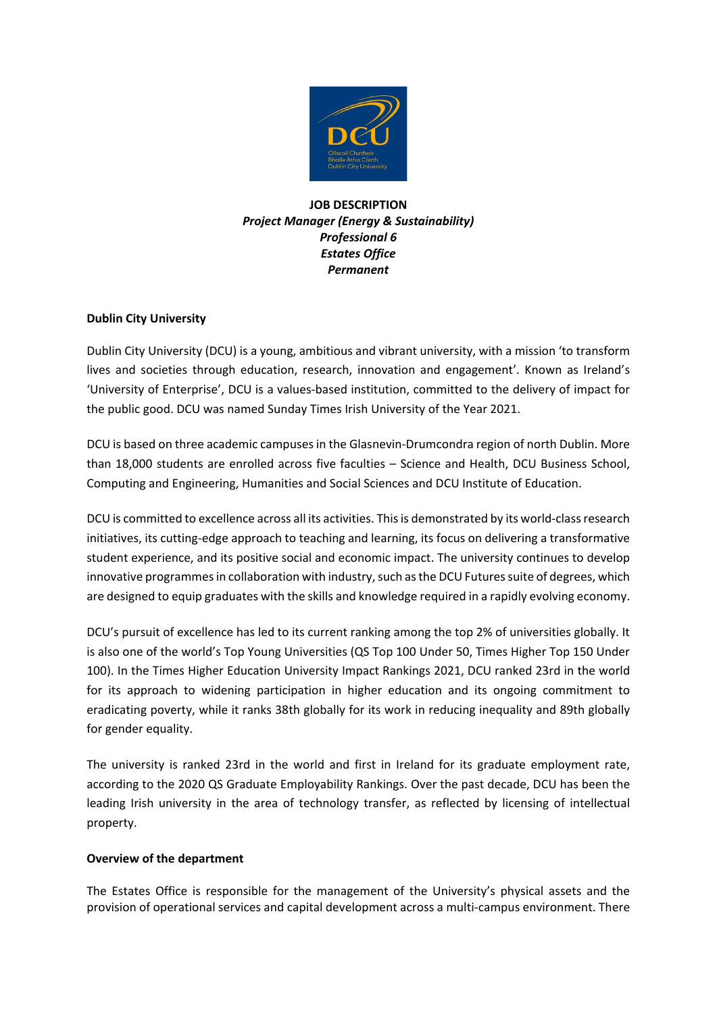

**JOB DESCRIPTION** *Project Manager (Energy & Sustainability) Professional 6 Estates Office Permanent*

## **Dublin City University**

Dublin City University (DCU) is a young, ambitious and vibrant university, with a mission 'to transform lives and societies through education, research, innovation and engagement'. Known as Ireland's 'University of Enterprise', DCU is a values-based institution, committed to the delivery of impact for the public good. DCU was named Sunday Times Irish University of the Year 2021.

DCU is based on three academic campuses in the Glasnevin-Drumcondra region of north Dublin. More than 18,000 students are enrolled across five faculties – Science and Health, DCU Business School, Computing and Engineering, Humanities and Social Sciences and DCU Institute of Education.

DCU is committed to excellence across all its activities. This is demonstrated by its world-class research initiatives, its cutting-edge approach to teaching and learning, its focus on delivering a transformative student experience, and its positive social and economic impact. The university continues to develop innovative programmes in collaboration with industry, such as the DCU Futures suite of degrees, which are designed to equip graduates with the skills and knowledge required in a rapidly evolving economy.

DCU's pursuit of excellence has led to its current ranking among the top 2% of universities globally. It is also one of the world's Top Young Universities (QS Top 100 Under 50, Times Higher Top 150 Under 100). In the Times Higher Education University Impact Rankings 2021, DCU ranked 23rd in the world for its approach to widening participation in higher education and its ongoing commitment to eradicating poverty, while it ranks 38th globally for its work in reducing inequality and 89th globally for gender equality.

The university is ranked 23rd in the world and first in Ireland for its graduate employment rate, according to the 2020 QS Graduate Employability Rankings. Over the past decade, DCU has been the leading Irish university in the area of technology transfer, as reflected by licensing of intellectual property.

## **Overview of the department**

The Estates Office is responsible for the management of the University's physical assets and the provision of operational services and capital development across a multi-campus environment. There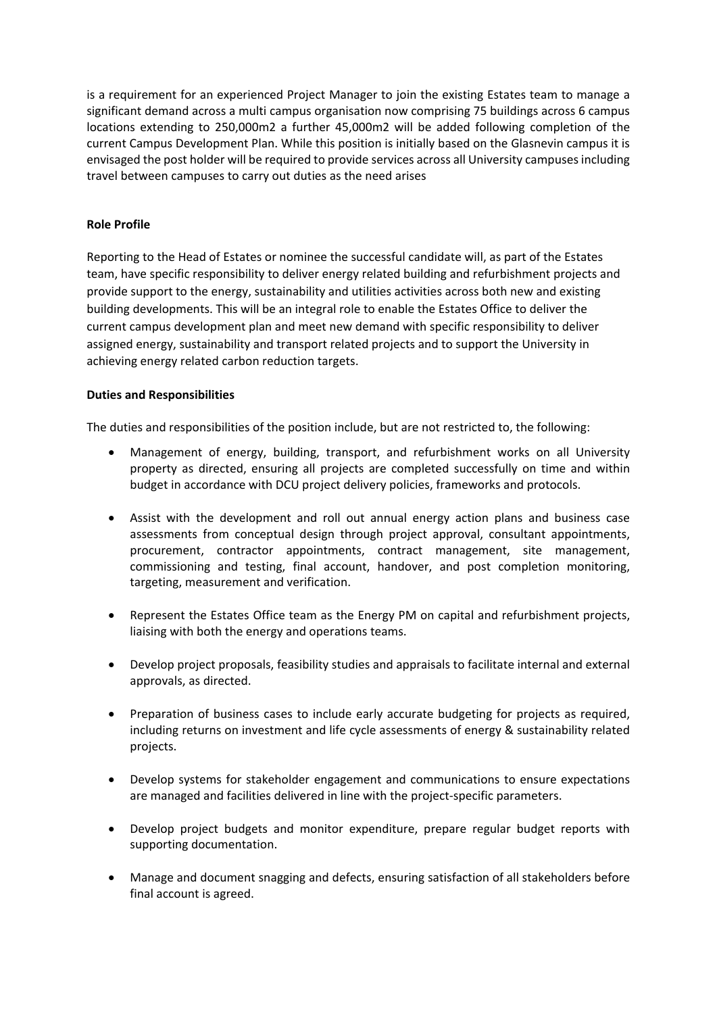is a requirement for an experienced Project Manager to join the existing Estates team to manage a significant demand across a multi campus organisation now comprising 75 buildings across 6 campus locations extending to 250,000m2 a further 45,000m2 will be added following completion of the current Campus Development Plan. While this position is initially based on the Glasnevin campus it is envisaged the post holder will be required to provide services across all University campuses including travel between campuses to carry out duties as the need arises

### **Role Profile**

Reporting to the Head of Estates or nominee the successful candidate will, as part of the Estates team, have specific responsibility to deliver energy related building and refurbishment projects and provide support to the energy, sustainability and utilities activities across both new and existing building developments. This will be an integral role to enable the Estates Office to deliver the current campus development plan and meet new demand with specific responsibility to deliver assigned energy, sustainability and transport related projects and to support the University in achieving energy related carbon reduction targets.

#### **Duties and Responsibilities**

The duties and responsibilities of the position include, but are not restricted to, the following:

- Management of energy, building, transport, and refurbishment works on all University property as directed, ensuring all projects are completed successfully on time and within budget in accordance with DCU project delivery policies, frameworks and protocols.
- Assist with the development and roll out annual energy action plans and business case assessments from conceptual design through project approval, consultant appointments, procurement, contractor appointments, contract management, site management, commissioning and testing, final account, handover, and post completion monitoring, targeting, measurement and verification.
- Represent the Estates Office team as the Energy PM on capital and refurbishment projects, liaising with both the energy and operations teams.
- Develop project proposals, feasibility studies and appraisals to facilitate internal and external approvals, as directed.
- Preparation of business cases to include early accurate budgeting for projects as required, including returns on investment and life cycle assessments of energy & sustainability related projects.
- Develop systems for stakeholder engagement and communications to ensure expectations are managed and facilities delivered in line with the project-specific parameters.
- Develop project budgets and monitor expenditure, prepare regular budget reports with supporting documentation.
- Manage and document snagging and defects, ensuring satisfaction of all stakeholders before final account is agreed.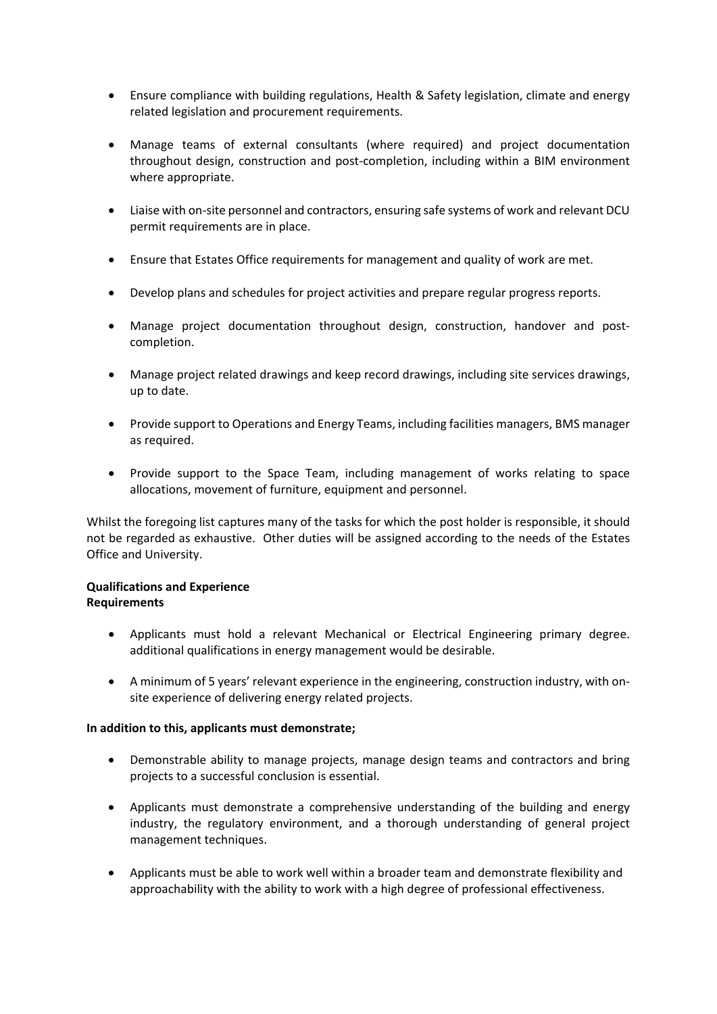- Ensure compliance with building regulations, Health & Safety legislation, climate and energy related legislation and procurement requirements.
- Manage teams of external consultants (where required) and project documentation throughout design, construction and post-completion, including within a BIM environment where appropriate.
- Liaise with on-site personnel and contractors, ensuring safe systems of work and relevant DCU permit requirements are in place.
- Ensure that Estates Office requirements for management and quality of work are met.
- Develop plans and schedules for project activities and prepare regular progress reports.
- Manage project documentation throughout design, construction, handover and postcompletion.
- Manage project related drawings and keep record drawings, including site services drawings, up to date.
- Provide support to Operations and Energy Teams, including facilities managers, BMS manager as required.
- Provide support to the Space Team, including management of works relating to space allocations, movement of furniture, equipment and personnel.

Whilst the foregoing list captures many of the tasks for which the post holder is responsible, it should not be regarded as exhaustive. Other duties will be assigned according to the needs of the Estates Office and University.

#### **Qualifications and Experience Requirements**

- Applicants must hold a relevant Mechanical or Electrical Engineering primary degree. additional qualifications in energy management would be desirable.
- A minimum of 5 years' relevant experience in the engineering, construction industry, with onsite experience of delivering energy related projects.

#### **In addition to this, applicants must demonstrate;**

- Demonstrable ability to manage projects, manage design teams and contractors and bring projects to a successful conclusion is essential.
- Applicants must demonstrate a comprehensive understanding of the building and energy industry, the regulatory environment, and a thorough understanding of general project management techniques.
- Applicants must be able to work well within a broader team and demonstrate flexibility and approachability with the ability to work with a high degree of professional effectiveness.